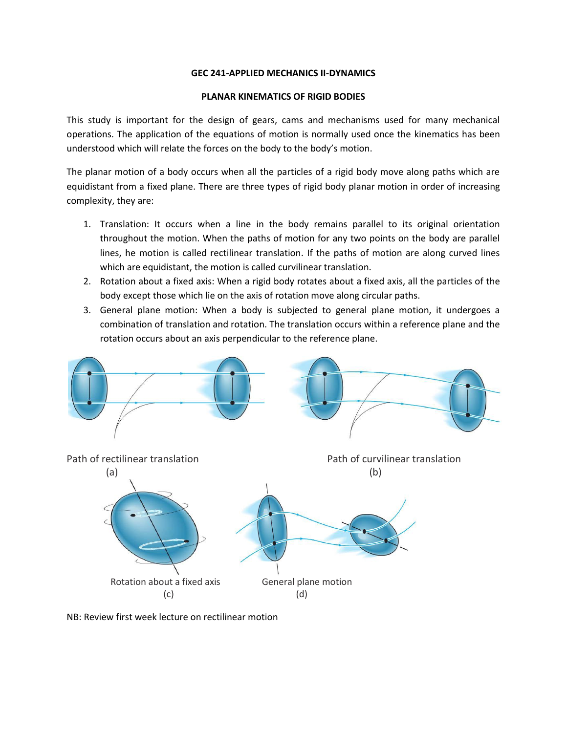## **GEC 241-APPLIED MECHANICS II-DYNAMICS**

#### **PLANAR KINEMATICS OF RIGID BODIES**

This study is important for the design of gears, cams and mechanisms used for many mechanical operations. The application of the equations of motion is normally used once the kinematics has been understood which will relate the forces on the body to the body's motion.

The planar motion of a body occurs when all the particles of a rigid body move along paths which are equidistant from a fixed plane. There are three types of rigid body planar motion in order of increasing complexity, they are:

- 1. Translation: It occurs when a line in the body remains parallel to its original orientation throughout the motion. When the paths of motion for any two points on the body are parallel lines, he motion is called rectilinear translation. If the paths of motion are along curved lines which are equidistant, the motion is called curvilinear translation.
- 2. Rotation about a fixed axis: When a rigid body rotates about a fixed axis, all the particles of the body except those which lie on the axis of rotation move along circular paths.
- 3. General plane motion: When a body is subjected to general plane motion, it undergoes a combination of translation and rotation. The translation occurs within a reference plane and the rotation occurs about an axis perpendicular to the reference plane.



NB: Review first week lecture on rectilinear motion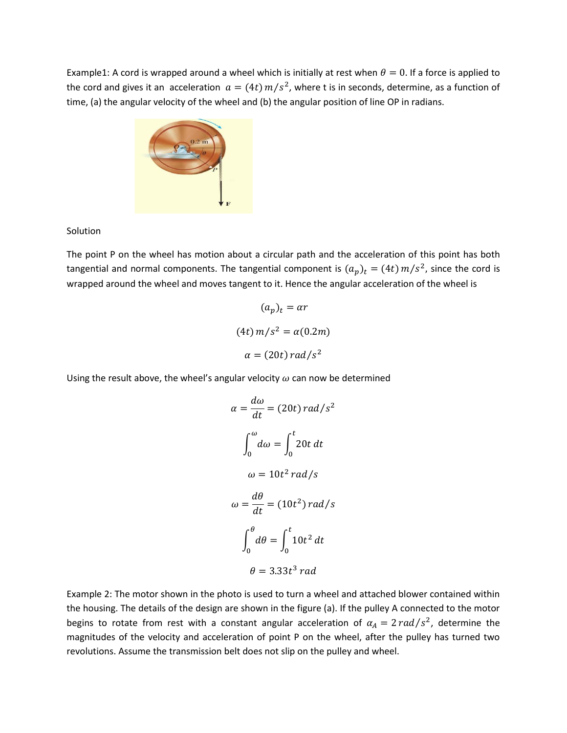Example1: A cord is wrapped around a wheel which is initially at rest when  $\theta = 0$ . If a force is applied to the cord and gives it an acceleration  $a = (4t) m/s<sup>2</sup>$ , where t is in seconds, determine, as a function of time, (a) the angular velocity of the wheel and (b) the angular position of line OP in radians.



## **Solution**

The point P on the wheel has motion about a circular path and the acceleration of this point has both tangential and normal components. The tangential component is  $(a_p)_t = (4t) m/s^2$ , since the cord is wrapped around the wheel and moves tangent to it. Hence the angular acceleration of the wheel is

$$
(a_p)_t = \alpha r
$$
  
(4*t*)  $m/s^2 = \alpha(0.2m)$   

$$
\alpha = (20t) rad/s^2
$$

Using the result above, the wheel's angular velocity  $\omega$  can now be determined

$$
\alpha = \frac{d\omega}{dt} = (20t) rad/s^2
$$

$$
\int_0^{\omega} d\omega = \int_0^t 20t dt
$$

$$
\omega = 10t^2 rad/s
$$

$$
\omega = \frac{d\theta}{dt} = (10t^2) rad/s
$$

$$
\int_0^{\theta} d\theta = \int_0^t 10t^2 dt
$$

$$
\theta = 3.33t^3 rad
$$

Example 2: The motor shown in the photo is used to turn a wheel and attached blower contained within the housing. The details of the design are shown in the figure (a). If the pulley A connected to the motor begins to rotate from rest with a constant angular acceleration of  $\alpha_A = 2 \, rad/s^2$ , determine the magnitudes of the velocity and acceleration of point P on the wheel, after the pulley has turned two revolutions. Assume the transmission belt does not slip on the pulley and wheel.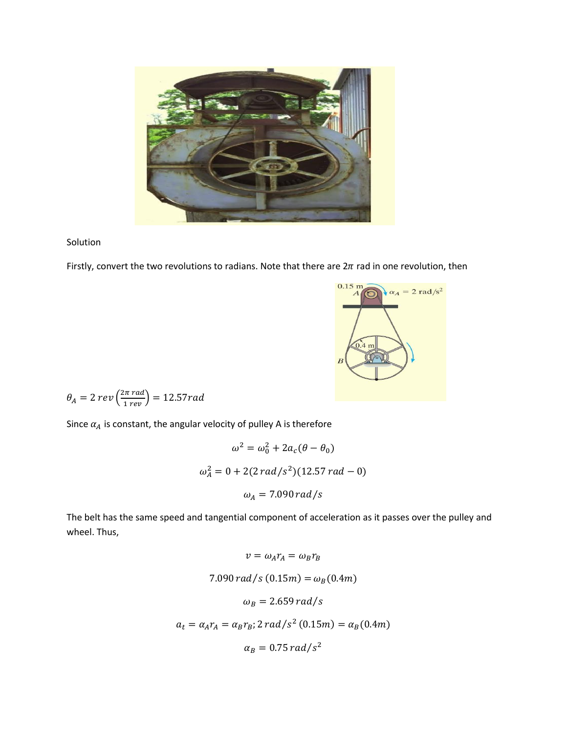

Solution

Firstly, convert the two revolutions to radians. Note that there are  $2\pi$  rad in one revolution, then



$$
\theta_A = 2 \ rev\left(\frac{2\pi \ rad}{1 \ rev}\right) = 12.57 rad
$$

Since  $\alpha_A$  is constant, the angular velocity of pulley A is therefore

$$
\omega^2 = \omega_0^2 + 2a_c(\theta - \theta_0)
$$
  

$$
\omega_A^2 = 0 + 2(2 \, rad/s^2)(12.57 \, rad - 0)
$$
  

$$
\omega_A = 7.090 \, rad/s
$$

The belt has the same speed and tangential component of acceleration as it passes over the pulley and wheel. Thus,

$$
v = \omega_A r_A = \omega_B r_B
$$
  
7.090 rad/s (0.15m) =  $\omega_B$ (0.4m)  

$$
\omega_B = 2.659 rad/s
$$
  

$$
a_t = \alpha_A r_A = \alpha_B r_B; 2 rad/s^2 (0.15m) = \alpha_B (0.4m)
$$
  

$$
\alpha_B = 0.75 rad/s^2
$$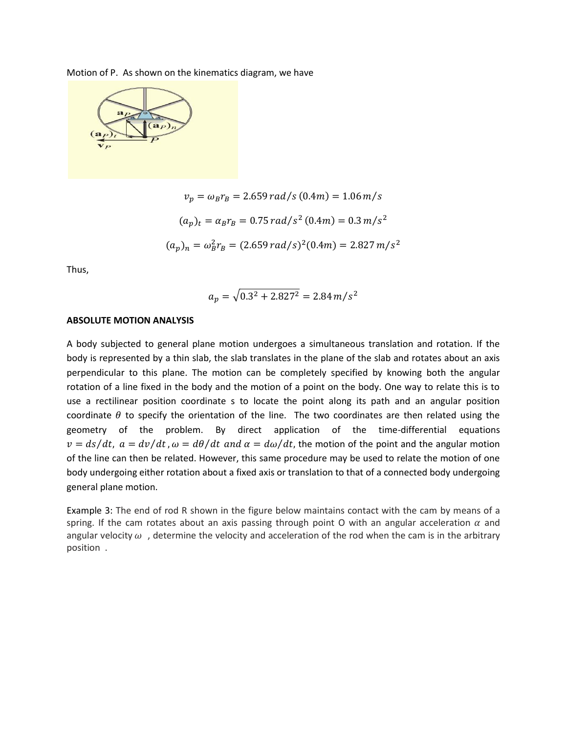Motion of P. As shown on the kinematics diagram, we have



$$
v_p = \omega_B r_B = 2.659 \, rad/s \, (0.4m) = 1.06 \, m/s
$$
\n
$$
(a_p)_t = \alpha_B r_B = 0.75 \, rad/s^2 \, (0.4m) = 0.3 \, m/s^2
$$
\n
$$
(a_p)_n = \omega_B^2 r_B = (2.659 \, rad/s)^2 (0.4m) = 2.827 \, m/s^2
$$

Thus,

$$
a_p = \sqrt{0.3^2 + 2.827^2} = 2.84 \, m/s^2
$$

#### **ABSOLUTE MOTION ANALYSIS**

A body subjected to general plane motion undergoes a simultaneous translation and rotation. If the body is represented by a thin slab, the slab translates in the plane of the slab and rotates about an axis perpendicular to this plane. The motion can be completely specified by knowing both the angular rotation of a line fixed in the body and the motion of a point on the body. One way to relate this is to use a rectilinear position coordinate s to locate the point along its path and an angular position coordinate  $\theta$  to specify the orientation of the line. The two coordinates are then related using the geometry of the problem. By direct application of the time-differential equations  $v = ds/dt$ ,  $a = dv/dt$ ,  $\omega = d\theta/dt$  and  $\alpha = d\omega/dt$ , the motion of the point and the angular motion of the line can then be related. However, this same procedure may be used to relate the motion of one body undergoing either rotation about a fixed axis or translation to that of a connected body undergoing general plane motion.

Example 3: The end of rod R shown in the figure below maintains contact with the cam by means of a spring. If the cam rotates about an axis passing through point O with an angular acceleration  $\alpha$  and angular velocity  $\omega$ , determine the velocity and acceleration of the rod when the cam is in the arbitrary position .